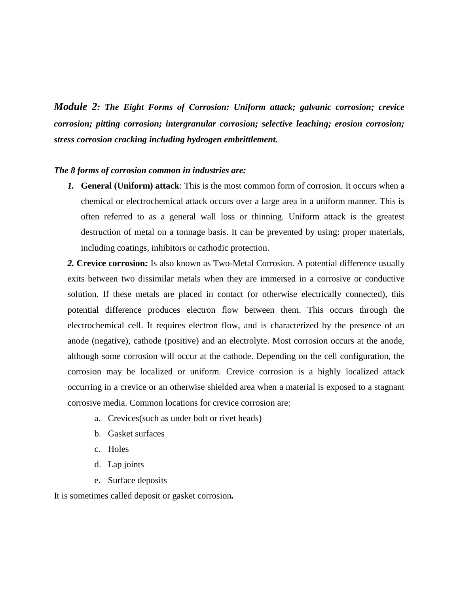*Module 2: The Eight Forms of Corrosion: Uniform attack; galvanic corrosion; crevice corrosion; pitting corrosion; intergranular corrosion; selective leaching; erosion corrosion; stress corrosion cracking including hydrogen embrittlement.*

### *The 8 forms of corrosion common in industries are:*

*1.* **General (Uniform) attack**: This is the most common form of corrosion. It occurs when a chemical or electrochemical attack occurs over a large area in a uniform manner. This is often referred to as a general wall loss or thinning. Uniform attack is the greatest destruction of metal on a tonnage basis. It can be prevented by using: proper materials, including coatings, inhibitors or cathodic protection.

*2.* **Crevice corrosion***:* Is also known as Two-Metal Corrosion. A potential difference usually exits between two dissimilar metals when they are immersed in a corrosive or conductive solution. If these metals are placed in contact (or otherwise electrically connected), this potential difference produces electron flow between them. This occurs through the electrochemical cell. It requires electron flow, and is characterized by the presence of an anode (negative), cathode (positive) and an electrolyte. Most corrosion occurs at the anode, although some corrosion will occur at the cathode. Depending on the cell configuration, the corrosion may be localized or uniform. Crevice corrosion is a highly localized attack occurring in a crevice or an otherwise shielded area when a material is exposed to a stagnant corrosive media. Common locations for crevice corrosion are:

- a. Crevices(such as under bolt or rivet heads)
- b. Gasket surfaces
- c. Holes
- d. Lap joints
- e. Surface deposits

It is sometimes called deposit or gasket corrosion*.*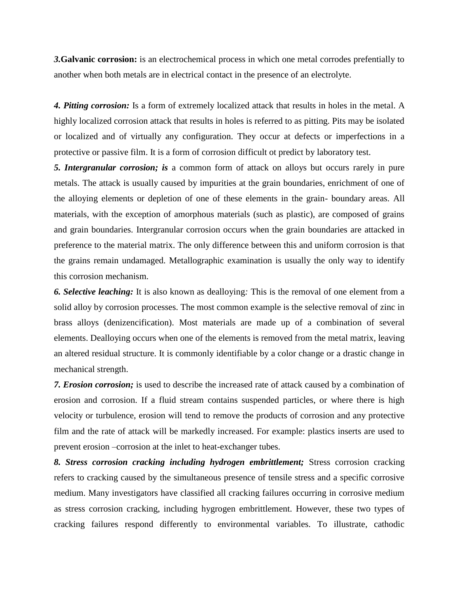*3.***Galvanic corrosion:** is an electrochemical process in which one metal corrodes prefentially to another when both metals are in electrical contact in the presence of an electrolyte.

*4. Pitting corrosion:* Is a form of extremely localized attack that results in holes in the metal. A highly localized corrosion attack that results in holes is referred to as pitting. Pits may be isolated or localized and of virtually any configuration. They occur at defects or imperfections in a protective or passive film. It is a form of corrosion difficult ot predict by laboratory test.

*5. Intergranular corrosion; is* a common form of attack on alloys but occurs rarely in pure metals. The attack is usually caused by impurities at the grain boundaries, enrichment of one of the alloying elements or depletion of one of these elements in the grain- boundary areas. All materials, with the exception of amorphous materials (such as plastic), are composed of grains and grain boundaries. Intergranular corrosion occurs when the grain boundaries are attacked in preference to the material matrix. The only difference between this and uniform corrosion is that the grains remain undamaged. Metallographic examination is usually the only way to identify this corrosion mechanism.

*6. Selective leaching:* It is also known as dealloying*:* This is the removal of one element from a solid alloy by corrosion processes. The most common example is the selective removal of zinc in brass alloys (denizencification). Most materials are made up of a combination of several elements. Dealloying occurs when one of the elements is removed from the metal matrix, leaving an altered residual structure. It is commonly identifiable by a color change or a drastic change in mechanical strength.

*7. Erosion corrosion;* is used to describe the increased rate of attack caused by a combination of erosion and corrosion. If a fluid stream contains suspended particles, or where there is high velocity or turbulence, erosion will tend to remove the products of corrosion and any protective film and the rate of attack will be markedly increased. For example: plastics inserts are used to prevent erosion –corrosion at the inlet to heat-exchanger tubes.

*8. Stress corrosion cracking including hydrogen embrittlement;* Stress corrosion cracking refers to cracking caused by the simultaneous presence of tensile stress and a specific corrosive medium. Many investigators have classified all cracking failures occurring in corrosive medium as stress corrosion cracking, including hygrogen embrittlement. However, these two types of cracking failures respond differently to environmental variables. To illustrate, cathodic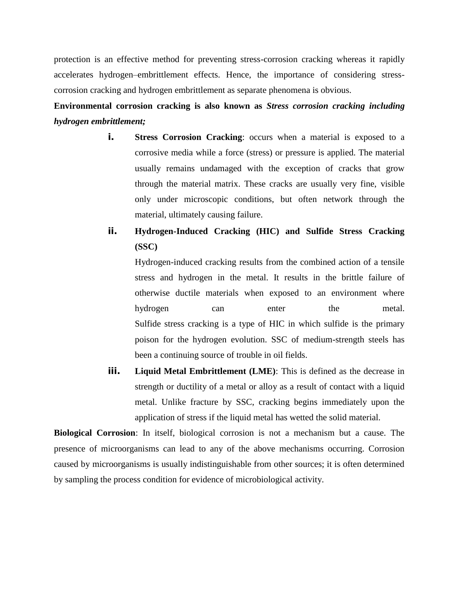protection is an effective method for preventing stress-corrosion cracking whereas it rapidly accelerates hydrogen–embrittlement effects. Hence, the importance of considering stresscorrosion cracking and hydrogen embrittlement as separate phenomena is obvious.

## **Environmental corrosion cracking is also known as** *Stress corrosion cracking including hydrogen embrittlement;*

- **i. Stress Corrosion Cracking**: occurs when a material is exposed to a corrosive media while a force (stress) or pressure is applied. The material usually remains undamaged with the exception of cracks that grow through the material matrix. These cracks are usually very fine, visible only under microscopic conditions, but often network through the material, ultimately causing failure.
- **ii. Hydrogen-Induced Cracking (HIC) and Sulfide Stress Cracking (SSC)**

Hydrogen-induced cracking results from the combined action of a tensile stress and hydrogen in the metal. It results in the brittle failure of otherwise ductile materials when exposed to an environment where hydrogen can enter the metal. Sulfide stress cracking is a type of HIC in which sulfide is the primary poison for the hydrogen evolution. SSC of medium-strength steels has been a continuing source of trouble in oil fields.

**iii.** Liquid Metal Embrittlement (LME): This is defined as the decrease in strength or ductility of a metal or alloy as a result of contact with a liquid metal. Unlike fracture by SSC, cracking begins immediately upon the application of stress if the liquid metal has wetted the solid material.

**Biological Corrosion**: In itself, biological corrosion is not a mechanism but a cause. The presence of microorganisms can lead to any of the above mechanisms occurring. Corrosion caused by microorganisms is usually indistinguishable from other sources; it is often determined by sampling the process condition for evidence of microbiological activity.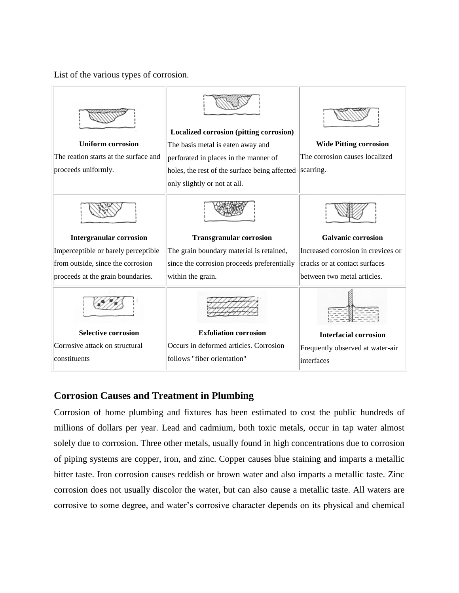List of the various types of corrosion.



## **Corrosion Causes and Treatment in Plumbing**

Corrosion of home plumbing and fixtures has been estimated to cost the public hundreds of millions of dollars per year. Lead and cadmium, both toxic metals, occur in tap water almost solely due to corrosion. Three other metals, usually found in high concentrations due to corrosion of piping systems are copper, iron, and zinc. Copper causes blue staining and imparts a metallic bitter taste. Iron corrosion causes reddish or brown water and also imparts a metallic taste. Zinc corrosion does not usually discolor the water, but can also cause a metallic taste. All waters are corrosive to some degree, and water"s corrosive character depends on its physical and chemical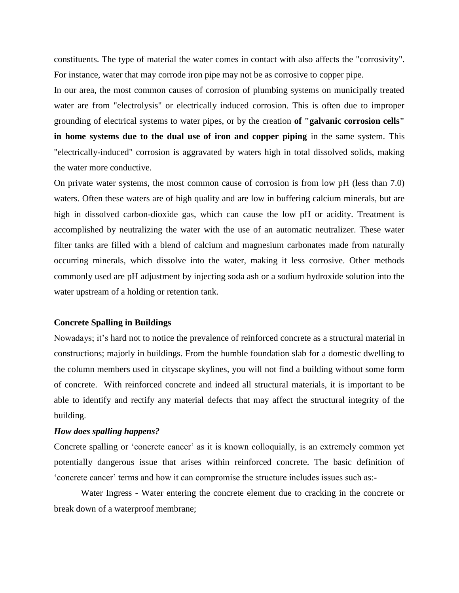constituents. The type of material the water comes in contact with also affects the "corrosivity". For instance, water that may corrode iron pipe may not be as corrosive to copper pipe.

In our area, the most common causes of corrosion of plumbing systems on municipally treated water are from "electrolysis" or electrically induced corrosion. This is often due to improper grounding of electrical systems to water pipes, or by the creation **of "galvanic corrosion cells" in home systems due to the dual use of iron and copper piping** in the same system. This "electrically-induced" corrosion is aggravated by waters high in total dissolved solids, making the water more conductive.

On private water systems, the most common cause of corrosion is from low pH (less than 7.0) waters. Often these waters are of high quality and are low in buffering calcium minerals, but are high in dissolved carbon-dioxide gas, which can cause the low pH or acidity. Treatment is accomplished by neutralizing the water with the use of an automatic neutralizer. These water filter tanks are filled with a blend of calcium and magnesium carbonates made from naturally occurring minerals, which dissolve into the water, making it less corrosive. Other methods commonly used are pH adjustment by injecting soda ash or a sodium hydroxide solution into the water upstream of a holding or retention tank.

### **Concrete Spalling in Buildings**

Nowadays; it's hard not to notice the prevalence of reinforced concrete as a structural material in constructions; majorly in buildings. From the humble foundation slab for a domestic dwelling to the column members used in cityscape skylines, you will not find a building without some form of concrete. With reinforced concrete and indeed all structural materials, it is important to be able to identify and rectify any material defects that may affect the structural integrity of the building.

#### *How does spalling happens?*

Concrete spalling or 'concrete cancer' as it is known colloquially, is an extremely common yet potentially dangerous issue that arises within reinforced concrete. The basic definition of 'concrete cancer' terms and how it can compromise the structure includes issues such as:-

Water Ingress - Water entering the concrete element due to cracking in the concrete or break down of a waterproof membrane;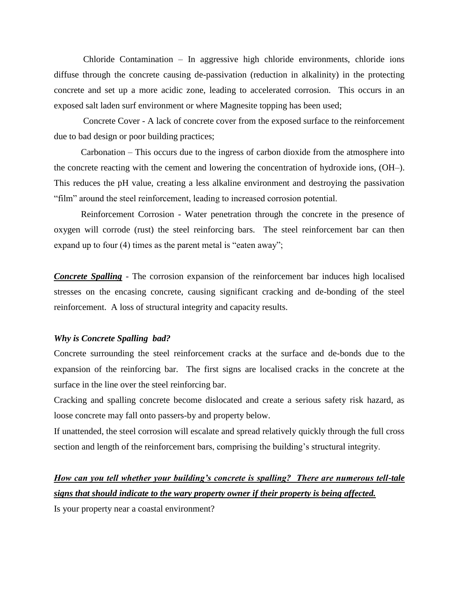Chloride Contamination – In aggressive high chloride environments, chloride ions diffuse through the concrete causing de-passivation (reduction in alkalinity) in the protecting concrete and set up a more acidic zone, leading to accelerated corrosion. This occurs in an exposed salt laden surf environment or where Magnesite topping has been used;

Concrete Cover - A lack of concrete cover from the exposed surface to the reinforcement due to bad design or poor building practices;

Carbonation – This occurs due to the ingress of carbon dioxide from the atmosphere into the concrete reacting with the cement and lowering the concentration of hydroxide ions, (OH–). This reduces the pH value, creating a less alkaline environment and destroying the passivation "film" around the steel reinforcement, leading to increased corrosion potential.

Reinforcement Corrosion - Water penetration through the concrete in the presence of oxygen will corrode (rust) the steel reinforcing bars. The steel reinforcement bar can then expand up to four (4) times as the parent metal is "eaten away";

*Concrete Spalling* - The corrosion expansion of the reinforcement bar induces high localised stresses on the encasing concrete, causing significant cracking and de-bonding of the steel reinforcement. A loss of structural integrity and capacity results.

### *Why is Concrete Spalling bad?*

Concrete surrounding the steel reinforcement cracks at the surface and de-bonds due to the expansion of the reinforcing bar. The first signs are localised cracks in the concrete at the surface in the line over the steel reinforcing bar.

Cracking and spalling concrete become dislocated and create a serious safety risk hazard, as loose concrete may fall onto passers-by and property below.

If unattended, the steel corrosion will escalate and spread relatively quickly through the full cross section and length of the reinforcement bars, comprising the building's structural integrity.

# *How can you tell whether your building's concrete is spalling? There are numerous tell-tale signs that should indicate to the wary property owner if their property is being affected.*

Is your property near a coastal environment?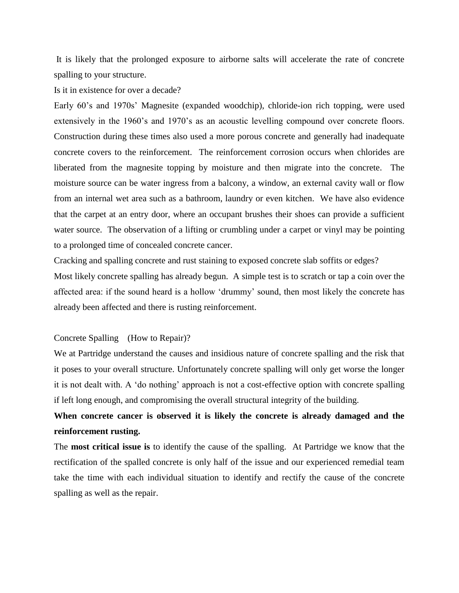It is likely that the prolonged exposure to airborne salts will accelerate the rate of concrete spalling to your structure.

Is it in existence for over a decade?

Early 60's and 1970s' Magnesite (expanded woodchip), chloride-ion rich topping, were used extensively in the 1960's and 1970's as an acoustic levelling compound over concrete floors. Construction during these times also used a more porous concrete and generally had inadequate concrete covers to the reinforcement. The reinforcement corrosion occurs when chlorides are liberated from the magnesite topping by moisture and then migrate into the concrete. The moisture source can be water ingress from a balcony, a window, an external cavity wall or flow from an internal wet area such as a bathroom, laundry or even kitchen. We have also evidence that the carpet at an entry door, where an occupant brushes their shoes can provide a sufficient water source. The observation of a lifting or crumbling under a carpet or vinyl may be pointing to a prolonged time of concealed concrete cancer.

Cracking and spalling concrete and rust staining to exposed concrete slab soffits or edges? Most likely concrete spalling has already begun. A simple test is to scratch or tap a coin over the affected area: if the sound heard is a hollow "drummy" sound, then most likely the concrete has already been affected and there is rusting reinforcement.

## Concrete Spalling (How to Repair)?

We at Partridge understand the causes and insidious nature of concrete spalling and the risk that it poses to your overall structure. Unfortunately concrete spalling will only get worse the longer it is not dealt with. A 'do nothing' approach is not a cost-effective option with concrete spalling if left long enough, and compromising the overall structural integrity of the building.

# **When concrete cancer is observed it is likely the concrete is already damaged and the reinforcement rusting.**

The **most critical issue is** to identify the cause of the spalling. At Partridge we know that the rectification of the spalled concrete is only half of the issue and our experienced remedial team take the time with each individual situation to identify and rectify the cause of the concrete spalling as well as the repair.